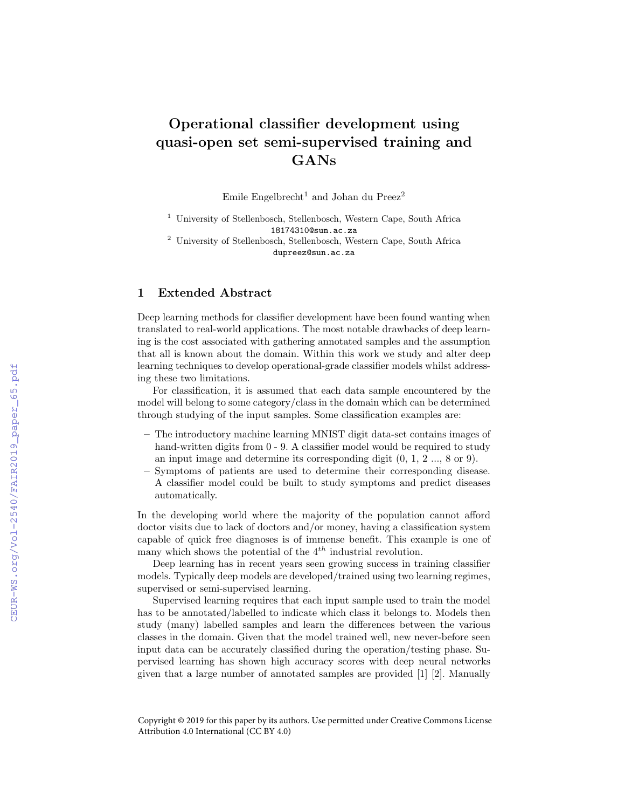## Operational classifier development using quasi-open set semi-supervised training and GANs

Emile Engelbrecht<sup>1</sup> and Johan du Preez<sup>2</sup>

<sup>1</sup> University of Stellenbosch, Stellenbosch, Western Cape, South Africa 18174310@sun.ac.za

<sup>2</sup> University of Stellenbosch, Stellenbosch, Western Cape, South Africa dupreez@sun.ac.za

## 1 Extended Abstract

Deep learning methods for classifier development have been found wanting when translated to real-world applications. The most notable drawbacks of deep learning is the cost associated with gathering annotated samples and the assumption that all is known about the domain. Within this work we study and alter deep learning techniques to develop operational-grade classifier models whilst addressing these two limitations.

For classification, it is assumed that each data sample encountered by the model will belong to some category/class in the domain which can be determined through studying of the input samples. Some classification examples are:

- The introductory machine learning MNIST digit data-set contains images of hand-written digits from  $0 - 9$ . A classifier model would be required to study an input image and determine its corresponding digit (0, 1, 2 ..., 8 or 9).
- Symptoms of patients are used to determine their corresponding disease. A classifier model could be built to study symptoms and predict diseases automatically.

In the developing world where the majority of the population cannot afford doctor visits due to lack of doctors and/or money, having a classification system capable of quick free diagnoses is of immense benefit. This example is one of many which shows the potential of the  $4^{th}$  industrial revolution.

Deep learning has in recent years seen growing success in training classifier models. Typically deep models are developed/trained using two learning regimes, supervised or semi-supervised learning.

Supervised learning requires that each input sample used to train the model has to be annotated/labelled to indicate which class it belongs to. Models then study (many) labelled samples and learn the differences between the various classes in the domain. Given that the model trained well, new never-before seen input data can be accurately classified during the operation/testing phase. Supervised learning has shown high accuracy scores with deep neural networks given that a large number of annotated samples are provided [1] [2]. Manually

Copyright © 2019 for this paper by its authors. Use permitted under Creative Commons License Attribution 4.0 International (CC BY 4.0)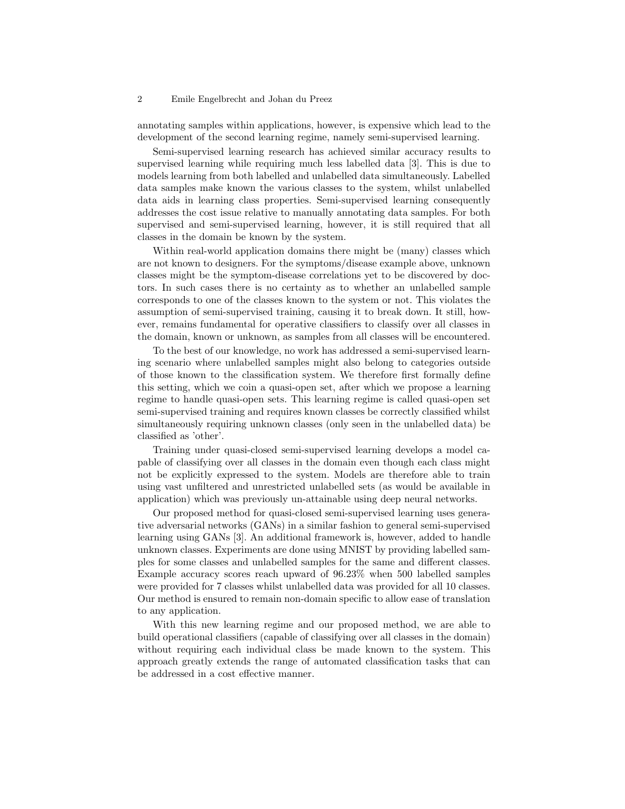## 2 Emile Engelbrecht and Johan du Preez

annotating samples within applications, however, is expensive which lead to the development of the second learning regime, namely semi-supervised learning.

Semi-supervised learning research has achieved similar accuracy results to supervised learning while requiring much less labelled data [3]. This is due to models learning from both labelled and unlabelled data simultaneously. Labelled data samples make known the various classes to the system, whilst unlabelled data aids in learning class properties. Semi-supervised learning consequently addresses the cost issue relative to manually annotating data samples. For both supervised and semi-supervised learning, however, it is still required that all classes in the domain be known by the system.

Within real-world application domains there might be (many) classes which are not known to designers. For the symptoms/disease example above, unknown classes might be the symptom-disease correlations yet to be discovered by doctors. In such cases there is no certainty as to whether an unlabelled sample corresponds to one of the classes known to the system or not. This violates the assumption of semi-supervised training, causing it to break down. It still, however, remains fundamental for operative classifiers to classify over all classes in the domain, known or unknown, as samples from all classes will be encountered.

To the best of our knowledge, no work has addressed a semi-supervised learning scenario where unlabelled samples might also belong to categories outside of those known to the classification system. We therefore first formally define this setting, which we coin a quasi-open set, after which we propose a learning regime to handle quasi-open sets. This learning regime is called quasi-open set semi-supervised training and requires known classes be correctly classified whilst simultaneously requiring unknown classes (only seen in the unlabelled data) be classified as 'other'.

Training under quasi-closed semi-supervised learning develops a model capable of classifying over all classes in the domain even though each class might not be explicitly expressed to the system. Models are therefore able to train using vast unfiltered and unrestricted unlabelled sets (as would be available in application) which was previously un-attainable using deep neural networks.

Our proposed method for quasi-closed semi-supervised learning uses generative adversarial networks (GANs) in a similar fashion to general semi-supervised learning using GANs [3]. An additional framework is, however, added to handle unknown classes. Experiments are done using MNIST by providing labelled samples for some classes and unlabelled samples for the same and different classes. Example accuracy scores reach upward of 96.23% when 500 labelled samples were provided for 7 classes whilst unlabelled data was provided for all 10 classes. Our method is ensured to remain non-domain specific to allow ease of translation to any application.

With this new learning regime and our proposed method, we are able to build operational classifiers (capable of classifying over all classes in the domain) without requiring each individual class be made known to the system. This approach greatly extends the range of automated classification tasks that can be addressed in a cost effective manner.